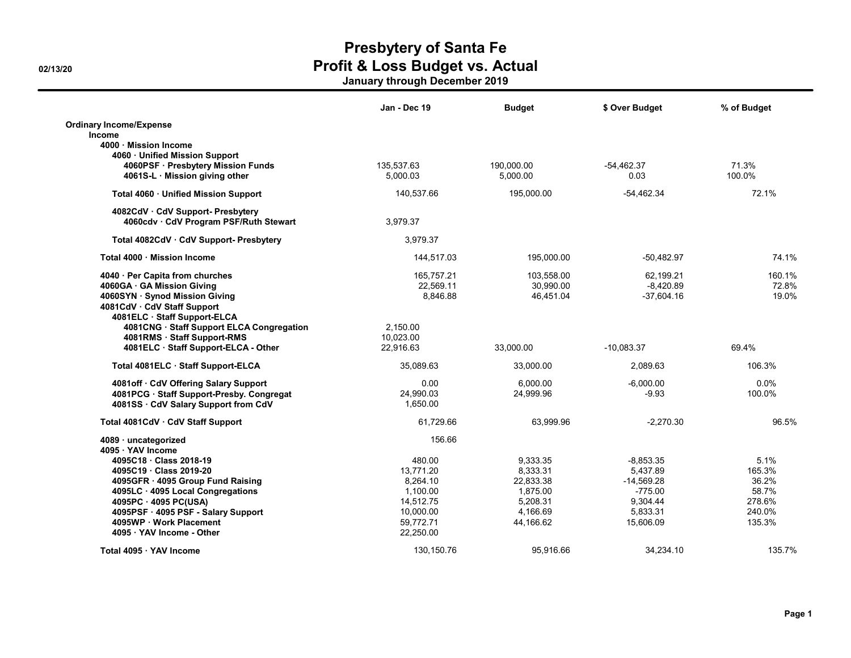|                                                                             | Jan - Dec 19 | <b>Budget</b> | \$ Over Budget | % of Budget |
|-----------------------------------------------------------------------------|--------------|---------------|----------------|-------------|
| <b>Ordinary Income/Expense</b><br>Income                                    |              |               |                |             |
| 4000 Mission Income                                                         |              |               |                |             |
| 4060 Unified Mission Support                                                |              |               |                |             |
| 4060PSF · Presbytery Mission Funds                                          | 135,537.63   | 190,000.00    | $-54,462.37$   | 71.3%       |
| 4061S-L · Mission giving other                                              | 5.000.03     | 5,000.00      | 0.03           | 100.0%      |
| Total 4060 · Unified Mission Support                                        | 140,537.66   | 195,000.00    | $-54,462.34$   | 72.1%       |
| 4082CdV · CdV Support- Presbytery<br>4060cdv · CdV Program PSF/Ruth Stewart | 3,979.37     |               |                |             |
| Total 4082CdV · CdV Support- Presbytery                                     | 3.979.37     |               |                |             |
| Total 4000 · Mission Income                                                 | 144,517.03   | 195,000.00    | $-50,482.97$   | 74.1%       |
| 4040 · Per Capita from churches                                             | 165,757.21   | 103,558.00    | 62,199.21      | 160.1%      |
| 4060GA · GA Mission Giving                                                  | 22,569.11    | 30,990.00     | $-8,420.89$    | 72.8%       |
| 4060SYN · Synod Mission Giving                                              | 8.846.88     | 46.451.04     | $-37,604.16$   | 19.0%       |
| 4081CdV · CdV Staff Support                                                 |              |               |                |             |
| 4081ELC · Staff Support-ELCA                                                |              |               |                |             |
| 4081CNG · Staff Support ELCA Congregation                                   | 2,150.00     |               |                |             |
| 4081RMS · Staff Support-RMS                                                 | 10,023.00    |               |                |             |
| 4081ELC · Staff Support-ELCA - Other                                        | 22.916.63    | 33.000.00     | $-10.083.37$   | 69.4%       |
| Total 4081ELC Staff Support-ELCA                                            | 35,089.63    | 33,000.00     | 2,089.63       | 106.3%      |
| 4081off CdV Offering Salary Support                                         | 0.00         | 6.000.00      | $-6.000.00$    | 0.0%        |
| 4081PCG · Staff Support-Presby. Congregat                                   | 24,990.03    | 24,999.96     | $-9.93$        | 100.0%      |
| 4081SS · CdV Salary Support from CdV                                        | 1,650.00     |               |                |             |
| Total 4081CdV · CdV Staff Support                                           | 61.729.66    | 63.999.96     | $-2.270.30$    | 96.5%       |
| 4089 · uncategorized                                                        | 156.66       |               |                |             |
| 4095 YAV Income                                                             |              |               |                |             |
| 4095C18 Class 2018-19                                                       | 480.00       | 9,333.35      | $-8,853.35$    | 5.1%        |
| 4095C19 Class 2019-20                                                       | 13.771.20    | 8,333.31      | 5,437.89       | 165.3%      |
| 4095GFR · 4095 Group Fund Raising                                           | 8.264.10     | 22.833.38     | $-14.569.28$   | 36.2%       |
| 4095LC · 4095 Local Congregations                                           | 1,100.00     | 1,875.00      | $-775.00$      | 58.7%       |
| 4095PC · 4095 PC(USA)                                                       | 14.512.75    | 5,208.31      | 9.304.44       | 278.6%      |
| 4095PSF · 4095 PSF - Salary Support                                         | 10,000.00    | 4,166.69      | 5,833.31       | 240.0%      |
| 4095WP Work Placement                                                       | 59,772.71    | 44,166.62     | 15,606.09      | 135.3%      |
| 4095 YAV Income - Other                                                     | 22.250.00    |               |                |             |
| Total 4095 YAV Income                                                       | 130, 150. 76 | 95.916.66     | 34.234.10      | 135.7%      |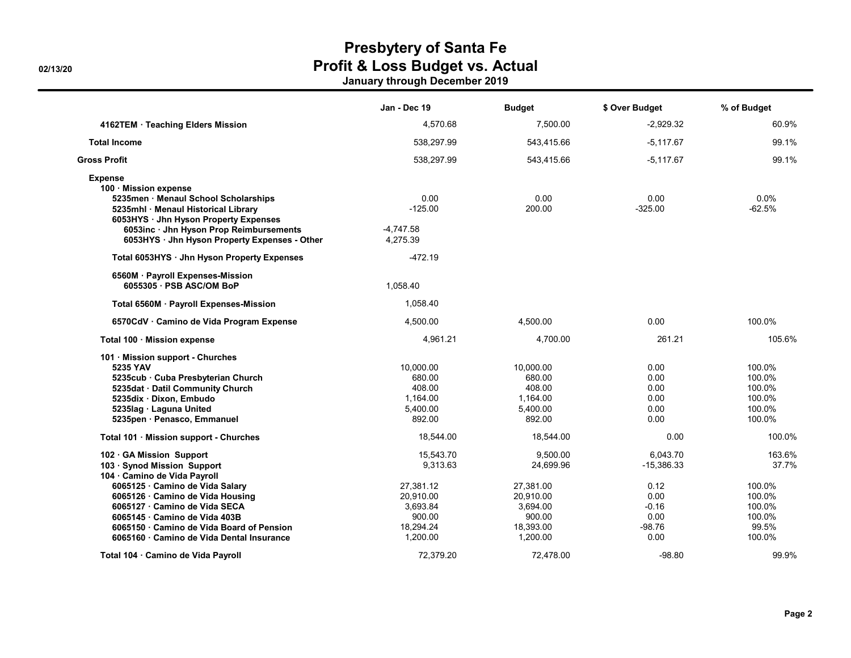|                                                                                                                                                                                                                                                           | Jan - Dec 19                                                          | Budget                                                                | \$ Over Budget                                      | % of Budget                                              |
|-----------------------------------------------------------------------------------------------------------------------------------------------------------------------------------------------------------------------------------------------------------|-----------------------------------------------------------------------|-----------------------------------------------------------------------|-----------------------------------------------------|----------------------------------------------------------|
| 4162TEM · Teaching Elders Mission                                                                                                                                                                                                                         | 4.570.68                                                              | 7,500.00                                                              | $-2.929.32$                                         | 60.9%                                                    |
| <b>Total Income</b>                                                                                                                                                                                                                                       | 538,297.99                                                            | 543,415.66                                                            | $-5,117.67$                                         | 99.1%                                                    |
| Gross Profit                                                                                                                                                                                                                                              | 538,297.99                                                            | 543,415.66                                                            | $-5,117.67$                                         | 99.1%                                                    |
| <b>Expense</b><br>100 Mission expense<br>5235men · Menaul School Scholarships<br>5235mhl · Menaul Historical Library<br>6053HYS · Jhn Hyson Property Expenses<br>6053inc · Jhn Hyson Prop Reimbursements<br>6053HYS · Jhn Hyson Property Expenses - Other | 0.00<br>$-125.00$<br>$-4,747.58$<br>4,275.39                          | 0.00<br>200.00                                                        | 0.00<br>$-325.00$                                   | 0.0%<br>$-62.5%$                                         |
| Total 6053HYS · Jhn Hyson Property Expenses                                                                                                                                                                                                               | $-472.19$                                                             |                                                                       |                                                     |                                                          |
| 6560M · Payroll Expenses-Mission<br>6055305 · PSB ASC/OM BoP                                                                                                                                                                                              | 1,058.40                                                              |                                                                       |                                                     |                                                          |
| Total 6560M · Payroll Expenses-Mission                                                                                                                                                                                                                    | 1,058.40                                                              |                                                                       |                                                     |                                                          |
| 6570CdV · Camino de Vida Program Expense                                                                                                                                                                                                                  | 4,500.00                                                              | 4,500.00                                                              | 0.00                                                | 100.0%                                                   |
| Total 100 · Mission expense                                                                                                                                                                                                                               | 4,961.21                                                              | 4,700.00                                                              | 261.21                                              | 105.6%                                                   |
| 101 · Mission support - Churches<br>5235 YAV<br>5235cub · Cuba Presbyterian Church<br>5235dat · Datil Community Church<br>5235dix Dixon, Embudo<br>5235lag · Laguna United<br>5235pen · Penasco, Emmanuel                                                 | 10,000.00<br>680.00<br>408.00<br>1,164.00<br>5,400.00<br>892.00       | 10,000.00<br>680.00<br>408.00<br>1,164.00<br>5,400.00<br>892.00       | 0.00<br>0.00<br>0.00<br>0.00<br>0.00<br>0.00        | 100.0%<br>100.0%<br>100.0%<br>100.0%<br>100.0%<br>100.0% |
| Total 101 · Mission support - Churches                                                                                                                                                                                                                    | 18,544.00                                                             | 18,544.00                                                             | 0.00                                                | 100.0%                                                   |
| 102 GA Mission Support<br>103 · Synod Mission Support<br>104 · Camino de Vida Payroll                                                                                                                                                                     | 15.543.70<br>9,313.63                                                 | 9,500.00<br>24,699.96                                                 | 6.043.70<br>$-15,386.33$                            | 163.6%<br>37.7%                                          |
| 6065125 · Camino de Vida Salary<br>6065126 Camino de Vida Housing<br>6065127 Camino de Vida SECA<br>6065145 Camino de Vida 403B<br>6065150 · Camino de Vida Board of Pension<br>6065160 Camino de Vida Dental Insurance                                   | 27.381.12<br>20.910.00<br>3,693.84<br>900.00<br>18.294.24<br>1,200.00 | 27,381.00<br>20.910.00<br>3,694.00<br>900.00<br>18,393.00<br>1,200.00 | 0.12<br>0.00<br>$-0.16$<br>0.00<br>$-98.76$<br>0.00 | 100.0%<br>100.0%<br>100.0%<br>100.0%<br>99.5%<br>100.0%  |
| Total 104 · Camino de Vida Payroll                                                                                                                                                                                                                        | 72.379.20                                                             | 72,478.00                                                             | $-98.80$                                            | 99.9%                                                    |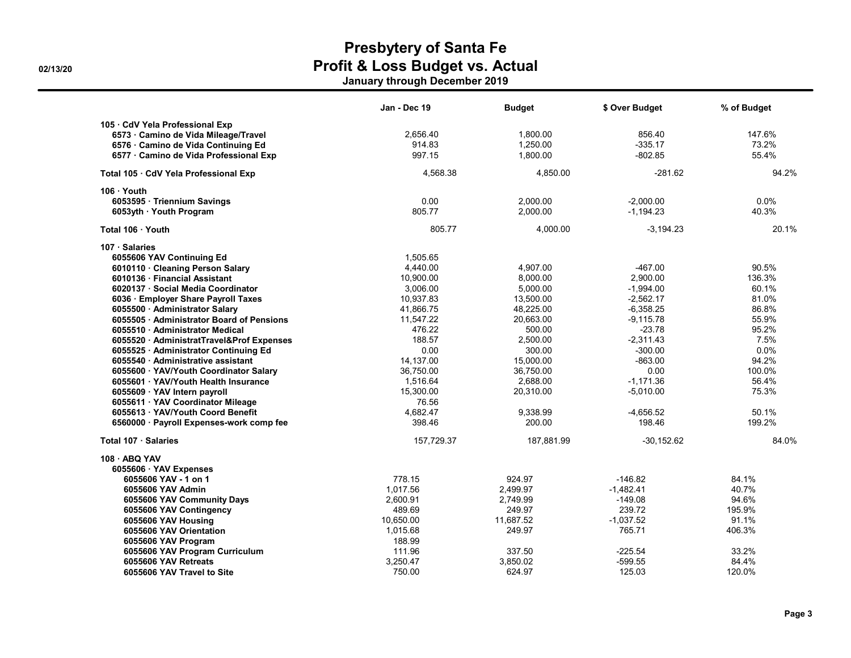|                                                                                                                                                                                                                                                                                                                                                                                                                                                                                                                                                                                                | Jan - Dec 19                                                                                                                                                                 | <b>Budget</b>                                                                                                                                              | \$ Over Budget                                                                                                                                                               | % of Budget                                                                                                          |
|------------------------------------------------------------------------------------------------------------------------------------------------------------------------------------------------------------------------------------------------------------------------------------------------------------------------------------------------------------------------------------------------------------------------------------------------------------------------------------------------------------------------------------------------------------------------------------------------|------------------------------------------------------------------------------------------------------------------------------------------------------------------------------|------------------------------------------------------------------------------------------------------------------------------------------------------------|------------------------------------------------------------------------------------------------------------------------------------------------------------------------------|----------------------------------------------------------------------------------------------------------------------|
| 105 · CdV Yela Professional Exp<br>6573 · Camino de Vida Mileage/Travel<br>6576 Camino de Vida Continuing Ed<br>6577 · Camino de Vida Professional Exp                                                                                                                                                                                                                                                                                                                                                                                                                                         | 2,656.40<br>914.83<br>997.15                                                                                                                                                 | 1.800.00<br>1,250.00<br>1,800.00                                                                                                                           | 856.40<br>$-335.17$<br>$-802.85$                                                                                                                                             | 147.6%<br>73.2%<br>55.4%                                                                                             |
| Total 105 · CdV Yela Professional Exp                                                                                                                                                                                                                                                                                                                                                                                                                                                                                                                                                          | 4.568.38                                                                                                                                                                     | 4.850.00                                                                                                                                                   | $-281.62$                                                                                                                                                                    | 94.2%                                                                                                                |
| 106 Youth<br>6053595 · Triennium Savings<br>6053yth · Youth Program                                                                                                                                                                                                                                                                                                                                                                                                                                                                                                                            | 0.00<br>805.77                                                                                                                                                               | 2,000.00<br>2,000.00                                                                                                                                       | $-2,000.00$<br>$-1,194.23$                                                                                                                                                   | $0.0\%$<br>40.3%                                                                                                     |
| Total 106 · Youth                                                                                                                                                                                                                                                                                                                                                                                                                                                                                                                                                                              | 805.77                                                                                                                                                                       | 4,000.00                                                                                                                                                   | $-3,194.23$                                                                                                                                                                  | 20.1%                                                                                                                |
| 107 · Salaries<br>6055606 YAV Continuing Ed<br>6010110 · Cleaning Person Salary<br>6010136 Financial Assistant<br>6020137 · Social Media Coordinator<br>6036 · Employer Share Payroll Taxes<br>6055500 · Administrator Salary<br>6055505 · Administrator Board of Pensions<br>6055510 Administrator Medical<br>6055520 · AdministratTravel&Prof Expenses<br>6055525 · Administrator Continuing Ed<br>6055540 · Administrative assistant<br>6055600 · YAV/Youth Coordinator Salary<br>6055601 · YAV/Youth Health Insurance<br>6055609 · YAV Intern payroll<br>6055611 · YAV Coordinator Mileage | 1,505.65<br>4,440.00<br>10,900.00<br>3,006.00<br>10,937.83<br>41,866.75<br>11.547.22<br>476.22<br>188.57<br>0.00<br>14,137.00<br>36.750.00<br>1,516.64<br>15,300.00<br>76.56 | 4,907.00<br>8,000.00<br>5,000.00<br>13,500.00<br>48,225.00<br>20.663.00<br>500.00<br>2,500.00<br>300.00<br>15,000.00<br>36.750.00<br>2,688.00<br>20,310.00 | $-467.00$<br>2,900.00<br>$-1,994.00$<br>$-2,562.17$<br>$-6,358.25$<br>$-9.115.78$<br>$-23.78$<br>$-2,311.43$<br>$-300.00$<br>$-863.00$<br>0.00<br>$-1.171.36$<br>$-5,010.00$ | 90.5%<br>136.3%<br>60.1%<br>81.0%<br>86.8%<br>55.9%<br>95.2%<br>7.5%<br>$0.0\%$<br>94.2%<br>100.0%<br>56.4%<br>75.3% |
| 6055613 · YAV/Youth Coord Benefit<br>6560000 · Payroll Expenses-work comp fee                                                                                                                                                                                                                                                                                                                                                                                                                                                                                                                  | 4,682.47<br>398.46                                                                                                                                                           | 9,338.99<br>200.00                                                                                                                                         | $-4,656.52$<br>198.46                                                                                                                                                        | 50.1%<br>199.2%                                                                                                      |
| Total 107 · Salaries                                                                                                                                                                                                                                                                                                                                                                                                                                                                                                                                                                           | 157,729.37                                                                                                                                                                   | 187,881.99                                                                                                                                                 | $-30,152.62$                                                                                                                                                                 | 84.0%                                                                                                                |
| 108 ABQ YAV<br>6055606 · YAV Expenses                                                                                                                                                                                                                                                                                                                                                                                                                                                                                                                                                          |                                                                                                                                                                              |                                                                                                                                                            |                                                                                                                                                                              |                                                                                                                      |
| 6055606 YAV - 1 on 1<br>6055606 YAV Admin                                                                                                                                                                                                                                                                                                                                                                                                                                                                                                                                                      | 778.15<br>1,017.56                                                                                                                                                           | 924.97<br>2,499.97                                                                                                                                         | $-146.82$<br>$-1,482.41$                                                                                                                                                     | 84.1%<br>40.7%                                                                                                       |
| 6055606 YAV Community Days<br>6055606 YAV Contingency                                                                                                                                                                                                                                                                                                                                                                                                                                                                                                                                          | 2,600.91<br>489.69                                                                                                                                                           | 2,749.99<br>249.97                                                                                                                                         | $-149.08$<br>239.72                                                                                                                                                          | 94.6%<br>195.9%                                                                                                      |
| 6055606 YAV Housing<br>6055606 YAV Orientation<br>6055606 YAV Program                                                                                                                                                                                                                                                                                                                                                                                                                                                                                                                          | 10,650.00<br>1,015.68<br>188.99                                                                                                                                              | 11,687.52<br>249.97                                                                                                                                        | $-1.037.52$<br>765.71                                                                                                                                                        | 91.1%<br>406.3%                                                                                                      |
| 6055606 YAV Program Curriculum<br>6055606 YAV Retreats<br>6055606 YAV Travel to Site                                                                                                                                                                                                                                                                                                                                                                                                                                                                                                           | 111.96<br>3,250.47<br>750.00                                                                                                                                                 | 337.50<br>3,850.02<br>624.97                                                                                                                               | $-225.54$<br>$-599.55$<br>125.03                                                                                                                                             | 33.2%<br>84.4%<br>120.0%                                                                                             |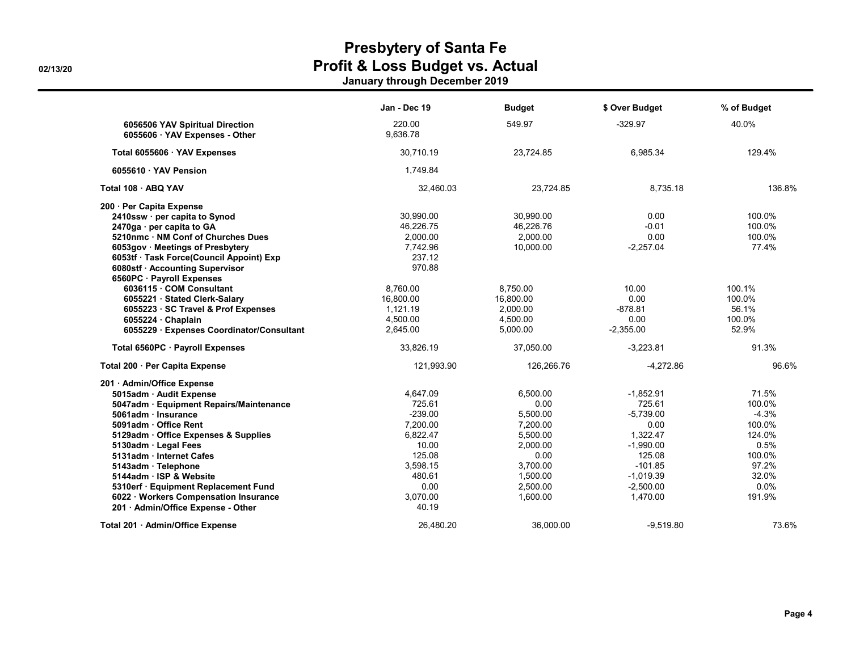|                                                                   | Jan - Dec 19       | <b>Budget</b> | \$ Over Budget | % of Budget |
|-------------------------------------------------------------------|--------------------|---------------|----------------|-------------|
| 6056506 YAV Spiritual Direction<br>6055606 · YAV Expenses - Other | 220.00<br>9,636.78 | 549.97        | $-329.97$      | 40.0%       |
| Total 6055606 · YAV Expenses                                      | 30.710.19          | 23.724.85     | 6.985.34       | 129.4%      |
| 6055610 · YAV Pension                                             | 1,749.84           |               |                |             |
| Total 108 - ABQ YAV                                               | 32,460.03          | 23,724.85     | 8,735.18       | 136.8%      |
| 200 · Per Capita Expense                                          |                    |               |                |             |
| 2410ssw · per capita to Synod                                     | 30.990.00          | 30.990.00     | 0.00           | 100.0%      |
| 2470ga · per capita to GA                                         | 46,226.75          | 46,226.76     | $-0.01$        | 100.0%      |
| 5210nmc NM Conf of Churches Dues                                  | 2,000.00           | 2,000.00      | 0.00           | 100.0%      |
| 6053gov · Meetings of Presbytery                                  | 7,742.96           | 10,000.00     | $-2,257.04$    | 77.4%       |
| 6053tf · Task Force(Council Appoint) Exp                          | 237.12             |               |                |             |
| 6080stf · Accounting Supervisor                                   | 970.88             |               |                |             |
| 6560PC · Payroll Expenses                                         |                    |               |                |             |
| 6036115 COM Consultant                                            | 8,760.00           | 8,750.00      | 10.00          | 100.1%      |
| 6055221 Stated Clerk-Salary                                       | 16.800.00          | 16.800.00     | 0.00           | 100.0%      |
| 6055223 · SC Travel & Prof Expenses                               | 1,121.19           | 2,000.00      | $-878.81$      | 56.1%       |
| 6055224 Chaplain                                                  | 4,500.00           | 4,500.00      | 0.00           | 100.0%      |
| 6055229 · Expenses Coordinator/Consultant                         | 2,645.00           | 5,000.00      | $-2,355.00$    | 52.9%       |
| Total 6560PC · Payroll Expenses                                   | 33,826.19          | 37,050.00     | $-3,223.81$    | 91.3%       |
| Total 200 · Per Capita Expense                                    | 121,993.90         | 126,266.76    | $-4,272.86$    | 96.6%       |
| 201 · Admin/Office Expense                                        |                    |               |                |             |
| 5015adm · Audit Expense                                           | 4,647.09           | 6.500.00      | $-1,852.91$    | 71.5%       |
| 5047adm · Equipment Repairs/Maintenance                           | 725.61             | 0.00          | 725.61         | 100.0%      |
| 5061adm · Insurance                                               | $-239.00$          | 5,500.00      | $-5,739.00$    | $-4.3%$     |
| 5091adm Office Rent                                               | 7.200.00           | 7,200.00      | 0.00           | 100.0%      |
| 5129adm · Office Expenses & Supplies                              | 6,822.47           | 5,500.00      | 1,322.47       | 124.0%      |
| 5130adm · Legal Fees                                              | 10.00              | 2,000.00      | $-1,990.00$    | 0.5%        |
| 5131adm · Internet Cafes                                          | 125.08             | 0.00          | 125.08         | 100.0%      |
| 5143adm · Telephone                                               | 3,598.15           | 3,700.00      | $-101.85$      | 97.2%       |
| 5144adm ISP & Website                                             | 480.61             | 1.500.00      | $-1,019.39$    | 32.0%       |
| 5310erf · Equipment Replacement Fund                              | 0.00               | 2,500.00      | $-2,500.00$    | 0.0%        |
| 6022 · Workers Compensation Insurance                             | 3,070.00           | 1,600.00      | 1,470.00       | 191.9%      |
| 201 · Admin/Office Expense - Other                                | 40.19              |               |                |             |
| Total 201 · Admin/Office Expense                                  | 26.480.20          | 36.000.00     | $-9.519.80$    | 73.6%       |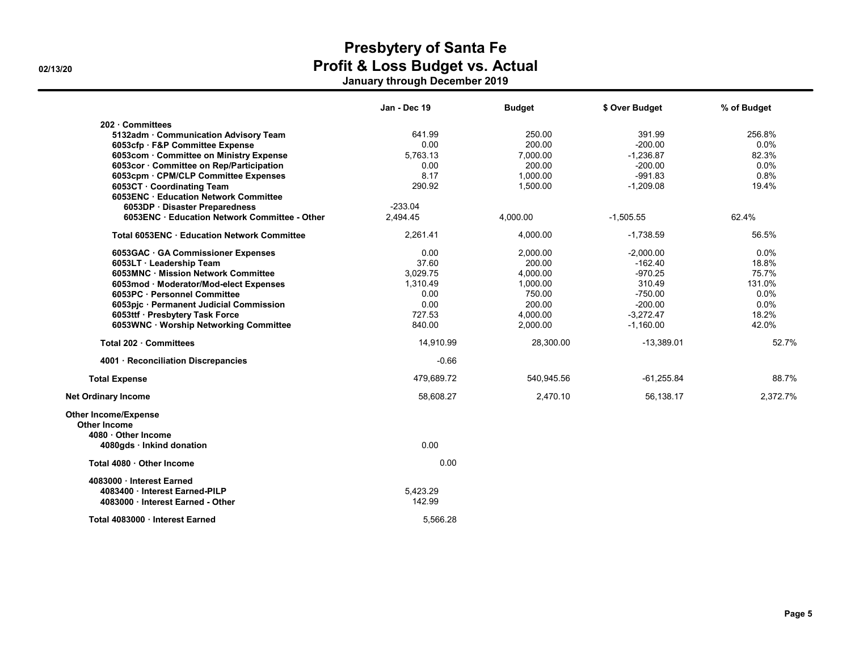|                                                                                                | Jan - Dec 19       | <b>Budget</b> | \$ Over Budget | % of Budget |
|------------------------------------------------------------------------------------------------|--------------------|---------------|----------------|-------------|
| 202 Committees                                                                                 |                    |               |                |             |
| 5132adm · Communication Advisory Team                                                          | 641.99             | 250.00        | 391.99         | 256.8%      |
| 6053cfp · F&P Committee Expense                                                                | 0.00               | 200.00        | $-200.00$      | 0.0%        |
| 6053com · Committee on Ministry Expense                                                        | 5,763.13           | 7,000.00      | $-1,236.87$    | 82.3%       |
| 6053cor · Committee on Rep/Participation                                                       | 0.00               | 200.00        | $-200.00$      | 0.0%        |
| 6053cpm · CPM/CLP Committee Expenses                                                           | 8.17               | 1,000.00      | $-991.83$      | 0.8%        |
| 6053CT Coordinating Team                                                                       | 290.92             | 1,500.00      | $-1,209.08$    | 19.4%       |
| 6053ENC Education Network Committee                                                            |                    |               |                |             |
| 6053DP · Disaster Preparedness                                                                 | $-233.04$          |               |                |             |
| 6053ENC · Education Network Committee - Other                                                  | 2,494.45           | 4,000.00      | $-1,505.55$    | 62.4%       |
| Total 6053ENC Education Network Committee                                                      | 2,261.41           | 4,000.00      | $-1,738.59$    | 56.5%       |
| 6053GAC GA Commissioner Expenses                                                               | 0.00               | 2,000.00      | $-2,000.00$    | 0.0%        |
| 6053LT · Leadership Team                                                                       | 37.60              | 200.00        | $-162.40$      | 18.8%       |
| 6053MNC · Mission Network Committee                                                            | 3,029.75           | 4,000.00      | $-970.25$      | 75.7%       |
| 6053mod · Moderator/Mod-elect Expenses                                                         | 1,310.49           | 1,000.00      | 310.49         | 131.0%      |
| 6053PC · Personnel Committee                                                                   | 0.00               | 750.00        | $-750.00$      | 0.0%        |
| 6053pic · Permanent Judicial Commission                                                        | 0.00               | 200.00        | $-200.00$      | 0.0%        |
| 6053ttf · Presbytery Task Force                                                                | 727.53             | 4,000.00      | $-3,272.47$    | 18.2%       |
| 6053WNC · Worship Networking Committee                                                         | 840.00             | 2,000.00      | $-1,160.00$    | 42.0%       |
| Total 202 · Committees                                                                         | 14,910.99          | 28,300.00     | $-13,389.01$   | 52.7%       |
| 4001 · Reconciliation Discrepancies                                                            | $-0.66$            |               |                |             |
| <b>Total Expense</b>                                                                           | 479,689.72         | 540,945.56    | $-61,255.84$   | 88.7%       |
| <b>Net Ordinary Income</b>                                                                     | 58,608.27          | 2,470.10      | 56,138.17      | 2.372.7%    |
| <b>Other Income/Expense</b><br><b>Other Income</b><br>4080 Other Income                        |                    |               |                |             |
| 4080gds · Inkind donation                                                                      | 0.00               |               |                |             |
| Total 4080 Other Income                                                                        | 0.00               |               |                |             |
| 4083000 Interest Earned<br>4083400 · Interest Earned-PILP<br>4083000 · Interest Earned - Other | 5,423.29<br>142.99 |               |                |             |
| Total 4083000 · Interest Earned                                                                | 5.566.28           |               |                |             |